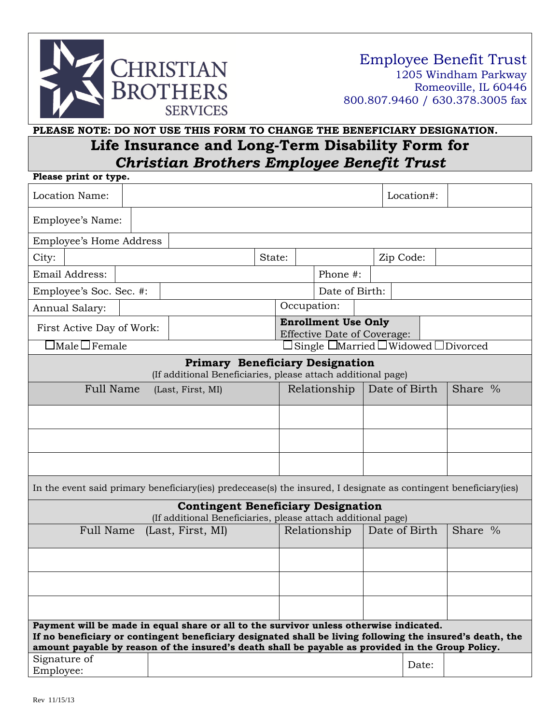

## **PLEASE NOTE: DO NOT USE THIS FORM TO CHANGE THE BENEFICIARY DESIGNATION. Life Insurance and Long-Term Disability Form for**  *Christian Brothers Employee Benefit Trust*

| Please print or type.                                                                                                                                                                                                                                                                                    |                                                                  |  |                |                                                      |              |               |            |  |         |
|----------------------------------------------------------------------------------------------------------------------------------------------------------------------------------------------------------------------------------------------------------------------------------------------------------|------------------------------------------------------------------|--|----------------|------------------------------------------------------|--------------|---------------|------------|--|---------|
| Location Name:                                                                                                                                                                                                                                                                                           |                                                                  |  |                |                                                      |              |               | Location#: |  |         |
| Employee's Name:                                                                                                                                                                                                                                                                                         |                                                                  |  |                |                                                      |              |               |            |  |         |
| <b>Employee's Home Address</b>                                                                                                                                                                                                                                                                           |                                                                  |  |                |                                                      |              |               |            |  |         |
| City:                                                                                                                                                                                                                                                                                                    |                                                                  |  | State:         |                                                      |              |               | Zip Code:  |  |         |
| Email Address:                                                                                                                                                                                                                                                                                           |                                                                  |  |                |                                                      | Phone #:     |               |            |  |         |
| Employee's Soc. Sec. #:                                                                                                                                                                                                                                                                                  |                                                                  |  | Date of Birth: |                                                      |              |               |            |  |         |
| Annual Salary:                                                                                                                                                                                                                                                                                           |                                                                  |  |                |                                                      | Occupation:  |               |            |  |         |
| First Active Day of Work:                                                                                                                                                                                                                                                                                | <b>Enrollment Use Only</b><br><b>Effective Date of Coverage:</b> |  |                |                                                      |              |               |            |  |         |
| $\exists$ Male $\Box$ Female                                                                                                                                                                                                                                                                             |                                                                  |  |                | Single $\Box$ Married $\Box$ Widowed $\Box$ Divorced |              |               |            |  |         |
| <b>Primary Beneficiary Designation</b><br>(If additional Beneficiaries, please attach additional page)                                                                                                                                                                                                   |                                                                  |  |                |                                                      |              |               |            |  |         |
| Full Name<br>(Last, First, MI)                                                                                                                                                                                                                                                                           |                                                                  |  |                |                                                      | Relationship | Date of Birth |            |  | Share % |
|                                                                                                                                                                                                                                                                                                          |                                                                  |  |                |                                                      |              |               |            |  |         |
|                                                                                                                                                                                                                                                                                                          |                                                                  |  |                |                                                      |              |               |            |  |         |
|                                                                                                                                                                                                                                                                                                          |                                                                  |  |                |                                                      |              |               |            |  |         |
| In the event said primary beneficiary (ies) predecease(s) the insured, I designate as contingent beneficiary (ies)                                                                                                                                                                                       |                                                                  |  |                |                                                      |              |               |            |  |         |
| <b>Contingent Beneficiary Designation</b>                                                                                                                                                                                                                                                                |                                                                  |  |                |                                                      |              |               |            |  |         |
| (If additional Beneficiaries, please attach additional page)<br>Date of Birth<br>Relationship                                                                                                                                                                                                            |                                                                  |  |                |                                                      |              |               | Share %    |  |         |
| <b>Full Name</b><br>(Last, First, MI)                                                                                                                                                                                                                                                                    |                                                                  |  |                |                                                      |              |               |            |  |         |
|                                                                                                                                                                                                                                                                                                          |                                                                  |  |                |                                                      |              |               |            |  |         |
|                                                                                                                                                                                                                                                                                                          |                                                                  |  |                |                                                      |              |               |            |  |         |
|                                                                                                                                                                                                                                                                                                          |                                                                  |  |                |                                                      |              |               |            |  |         |
| Payment will be made in equal share or all to the survivor unless otherwise indicated.<br>If no beneficiary or contingent beneficiary designated shall be living following the insured's death, the<br>amount payable by reason of the insured's death shall be payable as provided in the Group Policy. |                                                                  |  |                |                                                      |              |               |            |  |         |
| Signature of                                                                                                                                                                                                                                                                                             |                                                                  |  |                |                                                      |              |               | Date:      |  |         |
| Employee:                                                                                                                                                                                                                                                                                                |                                                                  |  |                |                                                      |              |               |            |  |         |